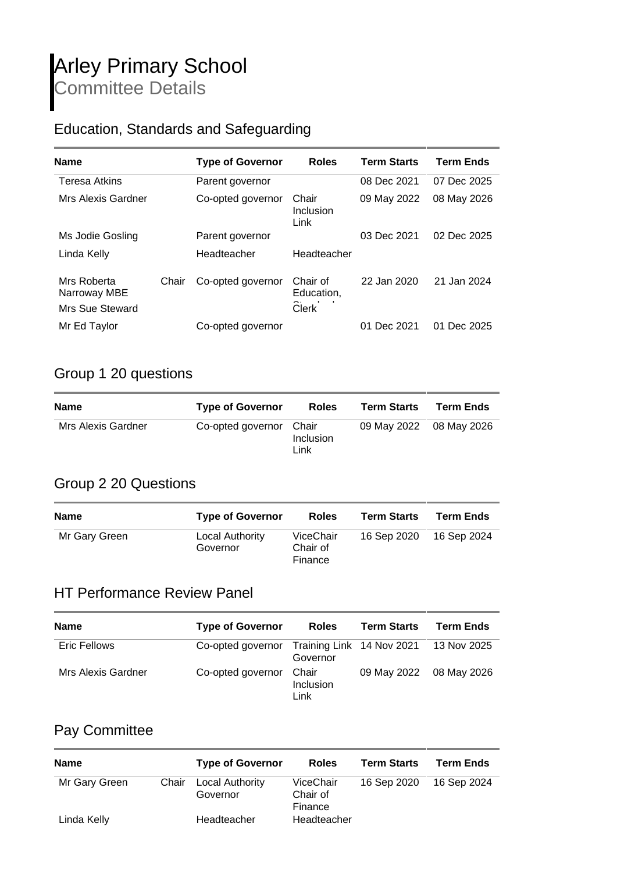### Education, Standards and Safeguarding

| <b>Name</b>                                    |       | <b>Type of Governor</b> | <b>Roles</b>                           | <b>Term Starts</b> | <b>Term Ends</b> |
|------------------------------------------------|-------|-------------------------|----------------------------------------|--------------------|------------------|
| <b>Teresa Atkins</b>                           |       | Parent governor         |                                        | 08 Dec 2021        | 07 Dec 2025      |
| Mrs Alexis Gardner                             |       | Co-opted governor       | Chair<br>Inclusion<br>Link             | 09 May 2022        | 08 May 2026      |
| Ms Jodie Gosling                               |       | Parent governor         |                                        | 03 Dec 2021        | 02 Dec 2025      |
| Linda Kelly                                    |       | Headteacher             | Headteacher                            |                    |                  |
| Mrs Roberta<br>Narroway MBE<br>Mrs Sue Steward | Chair | Co-opted governor       | Chair of<br>Education,<br><b>Clerk</b> | 22 Jan 2020        | 21 Jan 2024      |
| Mr Ed Taylor                                   |       | Co-opted governor       |                                        | 01 Dec 2021        | 01 Dec 2025      |

### Group 1 20 questions

| <b>Name</b>        | <b>Type of Governor</b> | <b>Roles</b>               | <b>Term Starts</b>      | <b>Term Ends</b> |
|--------------------|-------------------------|----------------------------|-------------------------|------------------|
| Mrs Alexis Gardner | Co-opted governor       | Chair<br>Inclusion<br>Link | 09 May 2022 08 May 2026 |                  |

#### Group 2 20 Questions

| <b>Name</b>   | <b>Type of Governor</b>     | <b>Roles</b>                     | <b>Term Starts</b> | <b>Term Ends</b> |
|---------------|-----------------------------|----------------------------------|--------------------|------------------|
| Mr Gary Green | Local Authority<br>Governor | ViceChair<br>Chair of<br>Finance | 16 Sep 2020        | 16 Sep 2024      |

#### HT Performance Review Panel

| <b>Name</b>         | <b>Type of Governor</b>                                 | <b>Roles</b>               | <b>Term Starts</b>      | <b>Term Ends</b> |
|---------------------|---------------------------------------------------------|----------------------------|-------------------------|------------------|
| <b>Eric Fellows</b> | Co-opted governor Training Link 14 Nov 2021 13 Nov 2025 | Governor                   |                         |                  |
| Mrs Alexis Gardner  | Co-opted governor                                       | Chair<br>Inclusion<br>Link | 09 May 2022 08 May 2026 |                  |

#### Pay Committee

| <b>Name</b>   |       | <b>Type of Governor</b>     | <b>Roles</b>                     | <b>Term Starts</b> | <b>Term Ends</b> |
|---------------|-------|-----------------------------|----------------------------------|--------------------|------------------|
| Mr Gary Green | Chair | Local Authority<br>Governor | ViceChair<br>Chair of<br>Finance | 16 Sep 2020        | 16 Sep 2024      |
| Linda Kelly   |       | Headteacher                 | Headteacher                      |                    |                  |